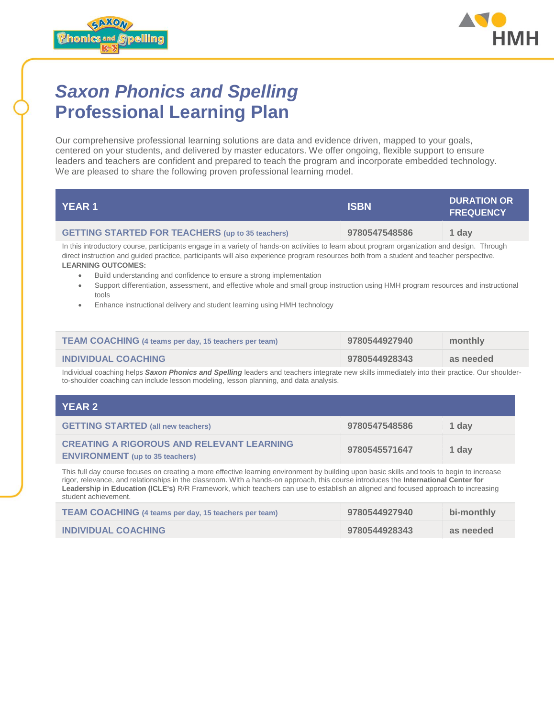



## *Saxon Phonics and Spelling* **Professional Learning Plan**

Our comprehensive professional learning solutions are data and evidence driven, mapped to your goals, centered on your students, and delivered by master educators. We offer ongoing, flexible support to ensure leaders and teachers are confident and prepared to teach the program and incorporate embedded technology. We are pleased to share the following proven professional learning model.

| I YEAR 11                                               | <b>ISBN</b>   | <b>DURATION OR</b><br><b>FREQUENCY</b> |
|---------------------------------------------------------|---------------|----------------------------------------|
| <b>GETTING STARTED FOR TEACHERS</b> (up to 35 teachers) | 9780547548586 | 1 dav                                  |

In this introductory course, participants engage in a variety of hands-on activities to learn about program organization and design. Through direct instruction and guided practice, participants will also experience program resources both from a student and teacher perspective. **LEARNING OUTCOMES:**

- Build understanding and confidence to ensure a strong implementation
- Support differentiation, assessment, and effective whole and small group instruction using HMH program resources and instructional tools
- Enhance instructional delivery and student learning using HMH technology

| <b>TEAM COACHING (4 teams per day, 15 teachers per team)</b> | 9780544927940 | monthly   |
|--------------------------------------------------------------|---------------|-----------|
| <b>INDIVIDUAL COACHING</b>                                   | 9780544928343 | as needed |

Individual coaching helps *Saxon Phonics and Spelling* leaders and teachers integrate new skills immediately into their practice. Our shoulderto-shoulder coaching can include lesson modeling, lesson planning, and data analysis.

| YEAR 2                                                                                     |               |       |
|--------------------------------------------------------------------------------------------|---------------|-------|
| <b>GETTING STARTED (all new teachers)</b>                                                  | 9780547548586 | 1 dav |
| <b>CREATING A RIGOROUS AND RELEVANT LEARNING</b><br><b>ENVIRONMENT</b> (up to 35 teachers) | 9780545571647 | 1 dav |

This full day course focuses on creating a more effective learning environment by building upon basic skills and tools to begin to increase rigor, relevance, and relationships in the classroom. With a hands-on approach, this course introduces the **International Center for Leadership in Education (ICLE's)** R/R Framework, which teachers can use to establish an aligned and focused approach to increasing student achievement.

| <b>TEAM COACHING (4 teams per day, 15 teachers per team)</b> | 9780544927940 | bi-monthly |
|--------------------------------------------------------------|---------------|------------|
| <b>INDIVIDUAL COACHING</b>                                   | 9780544928343 | as needed  |